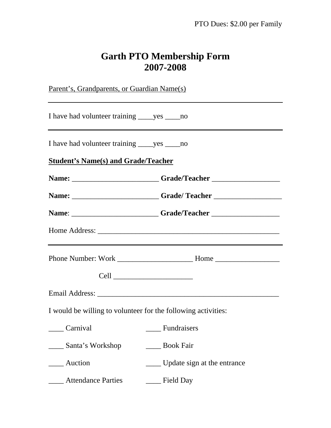## **Garth PTO Membership Form 2007-2008**

Parent's, Grandparents, or Guardian Name(s) I have had volunteer training ves no I have had volunteer training \_\_\_\_yes \_\_\_\_no **Student's Name(s) and Grade/Teacher Name:** \_\_\_\_\_\_\_\_\_\_\_\_\_\_\_\_\_\_\_\_\_\_\_ **Grade/Teacher** \_\_\_\_\_\_\_\_\_\_\_\_\_\_\_\_\_\_ **Name:** \_\_\_\_\_\_\_\_\_\_\_\_\_\_\_\_\_\_\_\_\_\_\_\_\_\_Grade/ Teacher \_\_\_\_\_\_\_\_\_\_\_\_\_\_\_\_\_\_\_\_\_\_\_\_\_\_\_\_\_\_\_\_\_ **Name**: \_\_\_\_\_\_\_\_\_\_\_\_\_\_\_\_\_\_\_\_\_\_\_ **Grade/Teacher** \_\_\_\_\_\_\_\_\_\_\_\_\_\_\_\_\_\_ Home Address: \_\_\_\_\_\_\_\_\_\_\_\_\_\_\_\_\_\_\_\_\_\_\_\_\_\_\_\_\_\_\_\_\_\_\_\_\_\_\_\_\_\_\_\_\_\_\_\_ Phone Number: Work **Home** Home Cell \_\_\_\_\_\_\_\_\_\_\_\_\_\_\_\_\_\_\_\_\_ Email Address: \_\_\_\_\_\_\_\_\_\_\_\_\_\_\_\_\_\_\_\_\_\_\_\_\_\_\_\_\_\_\_\_\_\_\_\_\_\_\_\_\_\_\_\_\_\_\_\_ I would be willing to volunteer for the following activities: \_\_\_\_ Carnival \_\_\_\_ Fundraisers \_\_\_\_ Santa's Workshop \_\_\_\_ Book Fair \_\_\_\_ Auction \_\_\_\_ Update sign at the entrance \_\_\_\_ Attendance Parties \_\_\_\_ Field Day